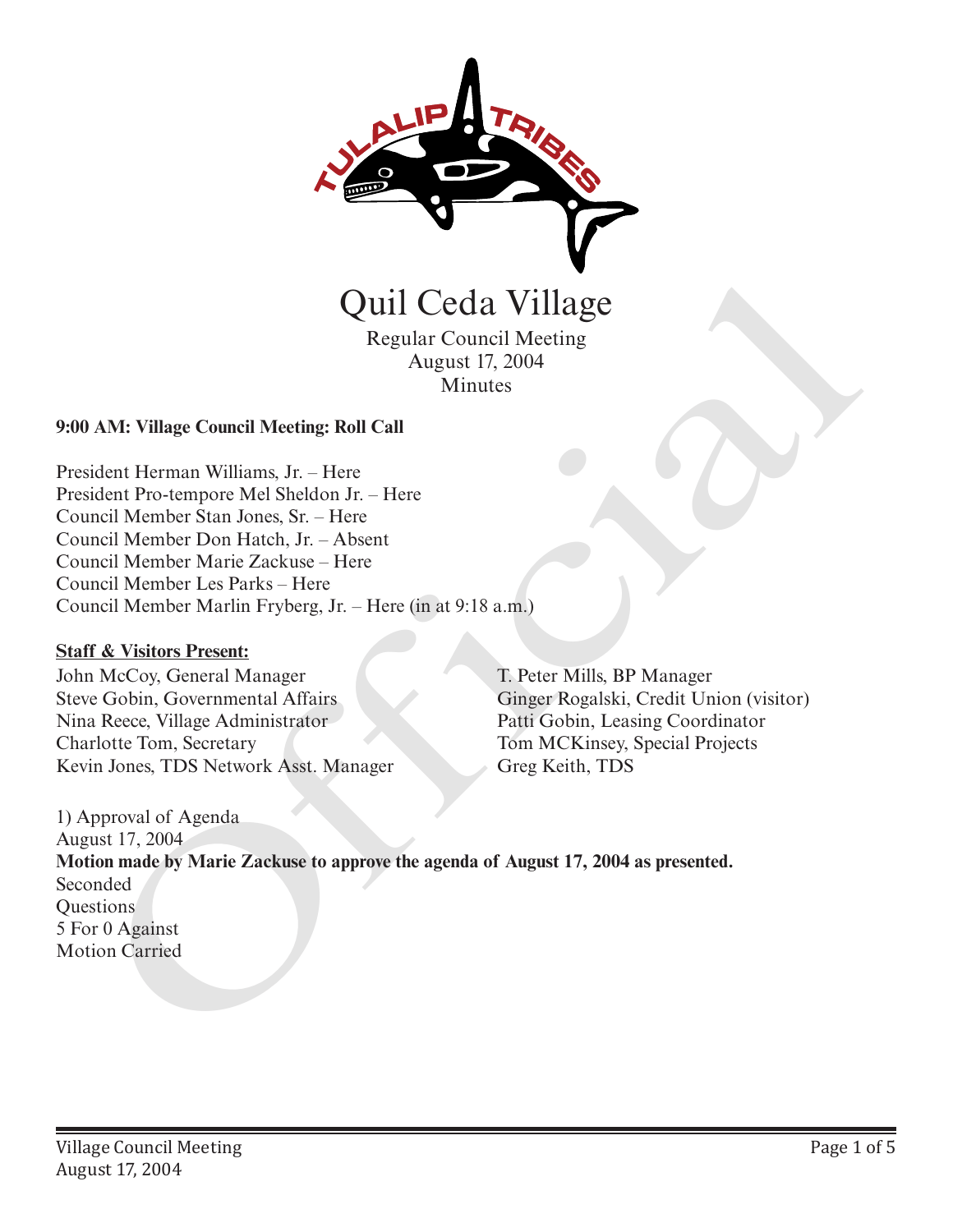

Regular Council Meeting August 17, 2004 Minutes

### **9:00 AM: Village Council Meeting: Roll Call**

President Herman Williams, Jr. – Here President Pro-tempore Mel Sheldon Jr. – Here Council Member Stan Jones, Sr. – Here Council Member Don Hatch, Jr. – Absent Council Member Marie Zackuse – Here Council Member Les Parks – Here Council Member Marlin Fryberg, Jr. – Here (in at 9:18 a.m.)

### **Staff & Visitors Present:**

John McCoy, General Manager Steve Gobin, Governmental Affairs Nina Reece, Village Administrator Charlotte Tom, Secretary Kevin Jones, TDS Network Asst. Manager T. Peter Mills, BP Manager Ginger Rogalski, Credit Union (visitor) Patti Gobin, Leasing Coordinator Tom MCKinsey, Special Projects Greg Keith, TDS

1) Approval of Agenda August 17, 2004 **Motion made by Marie Zackuse to approve the agenda of August 17, 2004 as presented.** Seconded **Ouestions** 5 For 0 Against **Carried Motion Carried America Carried Motion Carried American**<br>
Motion Carried Meeting: Roll Call<br>
Minutes<br>
President Herman Williams, Jr. – Here<br>
President Herman Williams, Jr. – Here<br>
Council Member Marie Zackuse – Her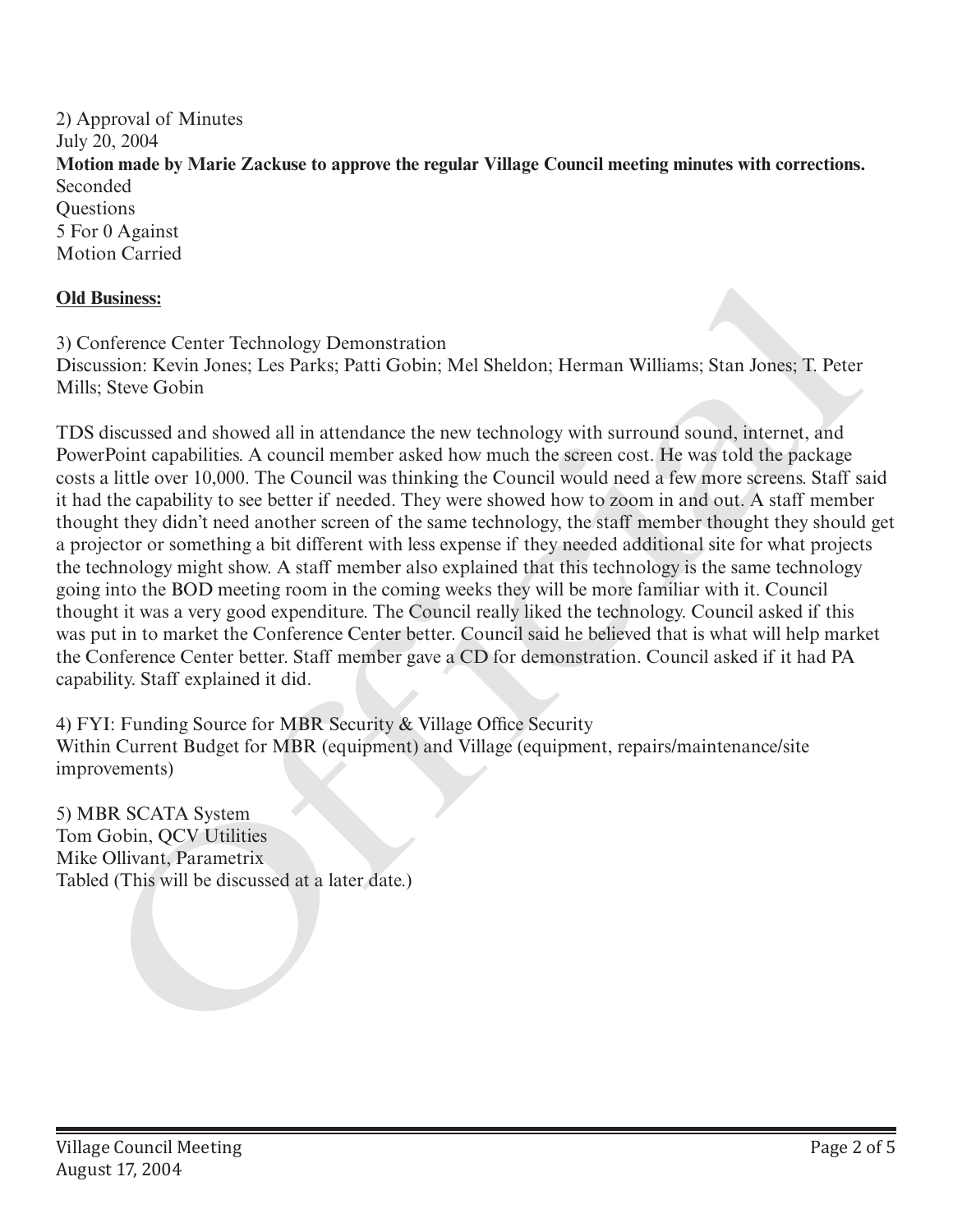2) Approval of Minutes July 20, 2004 **Motion made by Marie Zackuse to approve the regular Village Council meeting minutes with corrections.**  Seconded **Ouestions** 5 For 0 Against Motion Carried

# **Old Business:**

3) Conference Center Technology Demonstration Discussion: Kevin Jones; Les Parks; Patti Gobin; Mel Sheldon; Herman Williams; Stan Jones; T. Peter Mills; Steve Gobin

TDS discussed and showed all in attendance the new technology with surround sound, internet, and PowerPoint capabilities. A council member asked how much the screen cost. He was told the package costs a little over 10,000. The Council was thinking the Council would need a few more screens. Staff said it had the capability to see better if needed. They were showed how to zoom in and out. A staff member thought they didn't need another screen of the same technology, the staff member thought they should get a projector or something a bit different with less expense if they needed additional site for what projects the technology might show. A staff member also explained that this technology is the same technology going into the BOD meeting room in the coming weeks they will be more familiar with it. Council thought it was a very good expenditure. The Council really liked the technology. Council asked if this was put in to market the Conference Center better. Council said he believed that is what will help market the Conference Center better. Staff member gave a CD for demonstration. Council asked if it had PA capability. Staff explained it did. **Old Rusiness:**<br>
3) Conference Center Technology Demonstration<br>
3) Conference Center Technology Demonstration<br>
TDS discussed and showed all in attendance the new technology with surround sound, internet, and<br>
TDS discussed

4) FYI: Funding Source for MBR Security & Village Office Security Within Current Budget for MBR (equipment) and Village (equipment, repairs/maintenance/site improvements)

5) MBR SCATA System Tom Gobin, QCV Utilities Mike Ollivant, Parametrix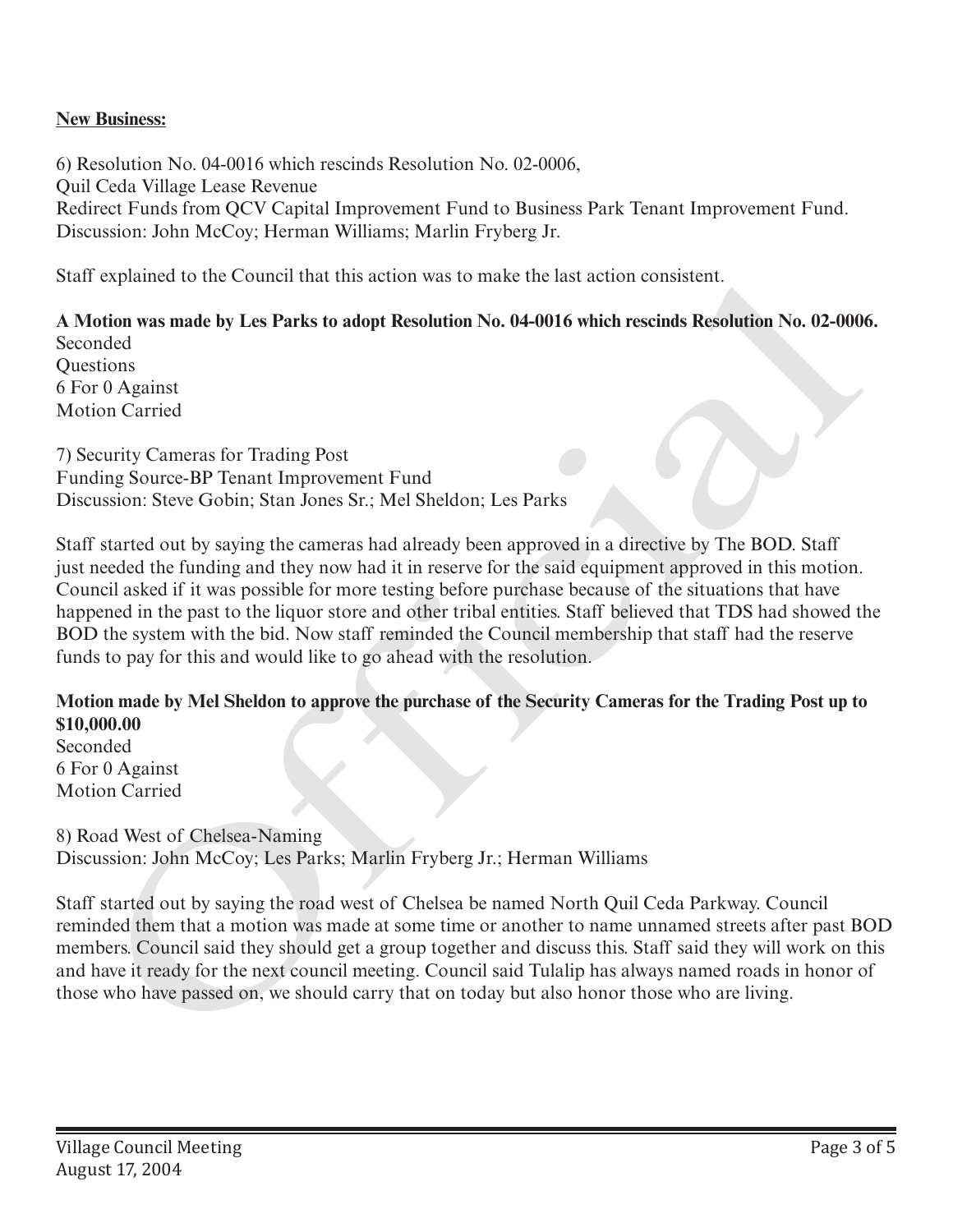## **New Business:**

6) Resolution No. 04-0016 which rescinds Resolution No. 02-0006, Quil Ceda Village Lease Revenue Redirect Funds from QCV Capital Improvement Fund to Business Park Tenant Improvement Fund. Discussion: John McCoy; Herman Williams; Marlin Fryberg Jr.

Staff explained to the Council that this action was to make the last action consistent.

**A Motion was made by Les Parks to adopt Resolution No. 04-0016 which rescinds Resolution No. 02-0006.** Seconded Questions 6 For 0 Against Motion Carried

7) Security Cameras for Trading Post Funding Source-BP Tenant Improvement Fund Discussion: Steve Gobin; Stan Jones Sr.; Mel Sheldon; Les Parks

Staff started out by saying the cameras had already been approved in a directive by The BOD. Staff just needed the funding and they now had it in reserve for the said equipment approved in this motion. Council asked if it was possible for more testing before purchase because of the situations that have happened in the past to the liquor store and other tribal entities. Staff believed that TDS had showed the BOD the system with the bid. Now staff reminded the Council membership that staff had the reserve funds to pay for this and would like to go ahead with the resolution. Start expained to the Council that this action was to make the last action consistent.<br>A Motion was made by Les Parks to adopt Resolution No. 04-0016 which rescinds Resolution No. 02-000<br>Seconded<br>Occusion:<br>The Council Carr

### **Motion made by Mel Sheldon to approve the purchase of the Security Cameras for the Trading Post up to \$10,000.00**

Seconded 6 For 0 Against Motion Carried

8) Road West of Chelsea-Naming Discussion: John McCoy; Les Parks; Marlin Fryberg Jr.; Herman Williams

Staff started out by saying the road west of Chelsea be named North Quil Ceda Parkway. Council reminded them that a motion was made at some time or another to name unnamed streets after past BOD members. Council said they should get a group together and discuss this. Staff said they will work on this and have it ready for the next council meeting. Council said Tulalip has always named roads in honor of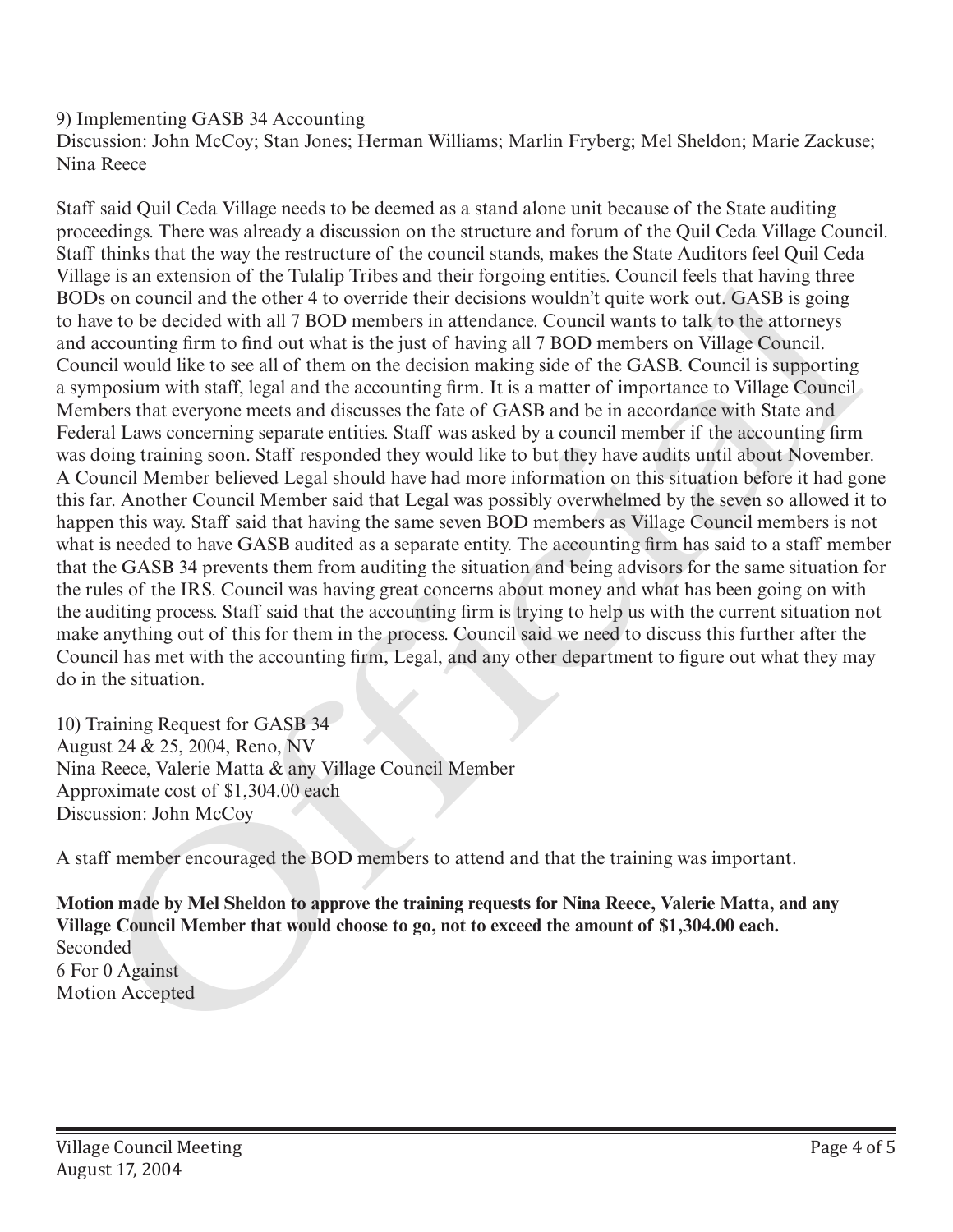# 9) Implementing GASB 34 Accounting

Discussion: John McCoy; Stan Jones; Herman Williams; Marlin Fryberg; Mel Sheldon; Marie Zackuse; Nina Reece

Staff said Quil Ceda Village needs to be deemed as a stand alone unit because of the State auditing proceedings. There was already a discussion on the structure and forum of the Quil Ceda Village Council. Staff thinks that the way the restructure of the council stands, makes the State Auditors feel Quil Ceda Village is an extension of the Tulalip Tribes and their forgoing entities. Council feels that having three BODs on council and the other 4 to override their decisions wouldn't quite work out. GASB is going to have to be decided with all 7 BOD members in attendance. Council wants to talk to the attorneys and accounting firm to find out what is the just of having all 7 BOD members on Village Council. Council would like to see all of them on the decision making side of the GASB. Council is supporting a symposium with staff, legal and the accounting firm. It is a matter of importance to Village Council Members that everyone meets and discusses the fate of GASB and be in accordance with State and Federal Laws concerning separate entities. Staff was asked by a council member if the accounting firm was doing training soon. Staff responded they would like to but they have audits until about November. A Council Member believed Legal should have had more information on this situation before it had gone this far. Another Council Member said that Legal was possibly overwhelmed by the seven so allowed it to happen this way. Staff said that having the same seven BOD members as Village Council members is not what is needed to have GASB audited as a separate entity. The accounting firm has said to a staff member that the GASB 34 prevents them from auditing the situation and being advisors for the same situation for the rules of the IRS. Council was having great concerns about money and what has been going on with the auditing process. Staff said that the accounting firm is trying to help us with the current situation not make anything out of this for them in the process. Council said we need to discuss this further after the Council has met with the accounting firm, Legal, and any other department to figure out what they may do in the situation. Vitage is an extension of the tutar plane and their corporage times to concil each with the consideration and the observed and the other in a covering term is a material consider that The consideration of the Data carount

10) Training Request for GASB 34 August 24 & 25, 2004, Reno, NV Nina Reece, Valerie Matta & any Village Council Member Approximate cost of \$1,304.00 each Discussion: John McCoy

A staff member encouraged the BOD members to attend and that the training was important.

**Motion made by Mel Sheldon to approve the training requests for Nina Reece, Valerie Matta, and any Village Council Member that would choose to go, not to exceed the amount of \$1,304.00 each.**  Seconded 6 For 0 Against